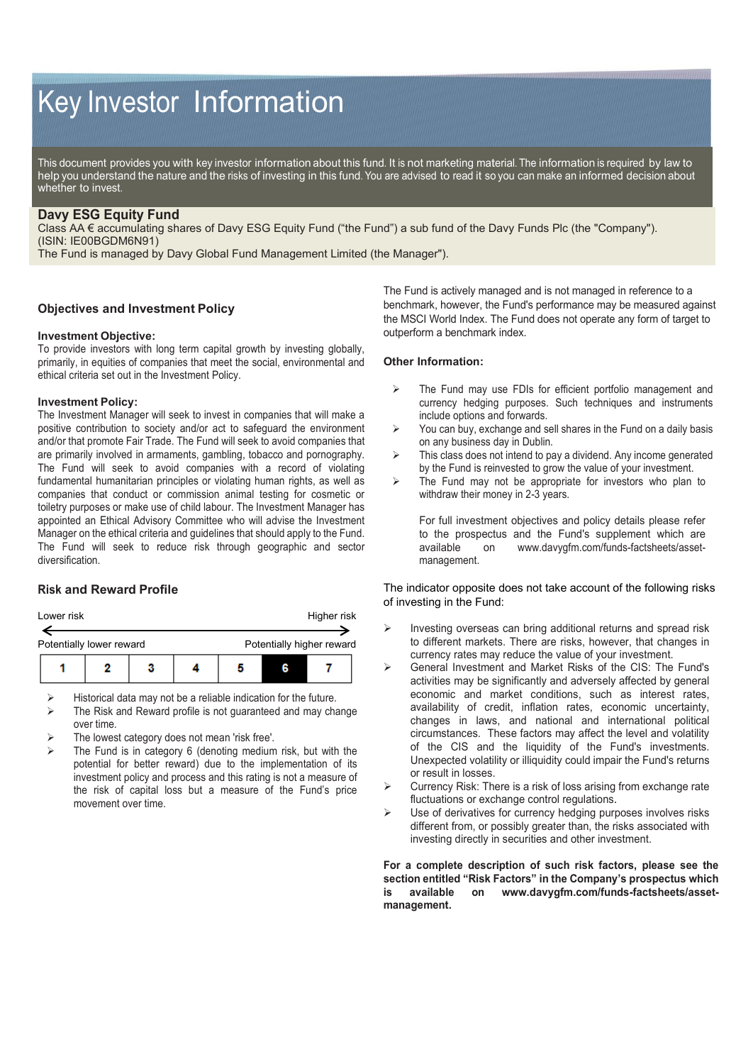# Key Investor Information

This document provides you with key investor information about this fund. It is not marketing material. The information is required by law to help you understand the nature and the risks of investing in this fund. You are advised to read it so you can make an informed decision about whether to invest.

# **Davy ESG Equity Fund**

Class AA € accumulating shares of Davy ESG Equity Fund ("the Fund") a sub fund of the Davy Funds Plc (the "Company"). (ISIN: IE00BGDM6N91)

The Fund is managed by Davy Global Fund Management Limited (the Manager").

## **Objectives and Investment Policy**

## **Investment Objective:**

To provide investors with long term capital growth by investing globally, primarily, in equities of companies that meet the social, environmental and ethical criteria set out in the Investment Policy.

## **Investment Policy:**

The Investment Manager will seek to invest in companies that will make a positive contribution to society and/or act to safeguard the environment and/or that promote Fair Trade. The Fund will seek to avoid companies that are primarily involved in armaments, gambling, tobacco and pornography. The Fund will seek to avoid companies with a record of violating fundamental humanitarian principles or violating human rights, as well as companies that conduct or commission animal testing for cosmetic or toiletry purposes or make use of child labour. The Investment Manager has appointed an Ethical Advisory Committee who will advise the Investment Manager on the ethical criteria and guidelines that should apply to the Fund. The Fund will seek to reduce risk through geographic and sector diversification.

## **Risk and Reward Profile**

| Lower risk               |                           |  | Higher risk |  |  |  |
|--------------------------|---------------------------|--|-------------|--|--|--|
| Potentially lower reward | Potentially higher reward |  |             |  |  |  |
|                          |                           |  |             |  |  |  |

Historical data may not be a reliable indication for the future.

- The Risk and Reward profile is not guaranteed and may change over time.
- The lowest category does not mean 'risk free'.
- The Fund is in category 6 (denoting medium risk, but with the potential for better reward) due to the implementation of its investment policy and process and this rating is not a measure of the risk of capital loss but a measure of the Fund's price movement over time.

The Fund is actively managed and is not managed in reference to a benchmark, however, the Fund's performance may be measured against the MSCI World Index. The Fund does not operate any form of target to outperform a benchmark index.

## **Other Information:**

- $\triangleright$  The Fund may use FDIs for efficient portfolio management and currency hedging purposes. Such techniques and instruments include options and forwards.
- $\triangleright$  You can buy, exchange and sell shares in the Fund on a daily basis on any business day in Dublin.
- $\triangleright$  This class does not intend to pay a dividend. Any income generated by the Fund is reinvested to grow the value of your investment.
- $\triangleright$  The Fund may not be appropriate for investors who plan to withdraw their money in 2-3 years.

For full investment objectives and policy details please refer to the prospectus and the Fund's supplement which are available on www.davyqfm.com/funds-factsheets/assetwww.davygfm.com/funds-factsheets/assetmanagement.

The indicator opposite does not take account of the following risks of investing in the Fund:

- $\triangleright$  Investing overseas can bring additional returns and spread risk to different markets. There are risks, however, that changes in currency rates may reduce the value of your investment.
- General Investment and Market Risks of the CIS: The Fund's activities may be significantly and adversely affected by general economic and market conditions, such as interest rates, availability of credit, inflation rates, economic uncertainty, changes in laws, and national and international political circumstances. These factors may affect the level and volatility of the CIS and the liquidity of the Fund's investments. Unexpected volatility or illiquidity could impair the Fund's returns or result in losses.
- Currency Risk: There is a risk of loss arising from exchange rate fluctuations or exchange control regulations.
- Use of derivatives for currency hedging purposes involves risks different from, or possibly greater than, the risks associated with investing directly in securities and other investment.

**For a complete description of such risk factors, please see the section entitled "Risk Factors" in the Company's prospectus which is available on www.davygfm.com/funds-factsheets/assetmanagement.**